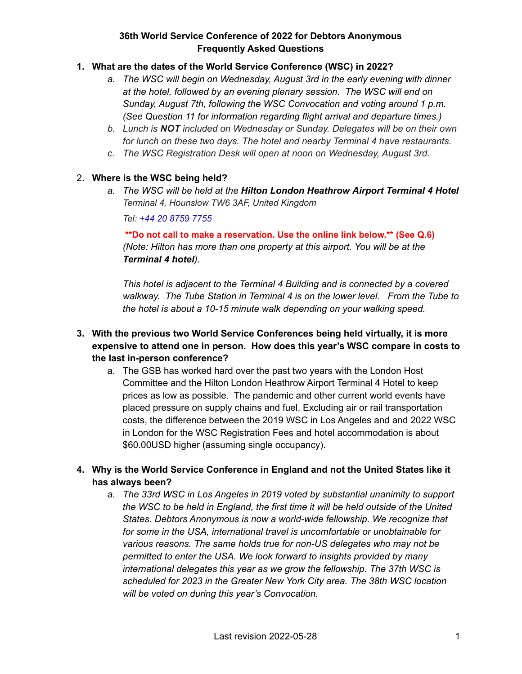### **1. What are the dates of the World Service Conference (WSC) in 2022?**

- *a. The WSC will begin on Wednesday, August 3rd in the early evening with dinner at the hotel, followed by an evening plenary session. The WSC will end on Sunday, August 7th, following the WSC Convocation and voting around 1 p.m. (See Question 11 for information regarding flight arrival and departure times.)*
- *b. Lunch is NOT included on Wednesday or Sunday. Delegates will be on their own for lunch on these two days. The hotel and nearby Terminal 4 have restaurants.*
- *c. The WSC Registration Desk will open at noon on Wednesday, August 3rd.*

#### 2. **Where is the WSC being held?**

*a. The WSC will be held at the Hilton London Heathrow Airport Terminal 4 Hotel Terminal 4, Hounslow TW6 3AF, United Kingdom*

*Tel: [+44 20 8759 7755](https://www.google.com/search?q=london+hilton+terminal+4&rlz=1C1GCEB_enCA993CA993&oq=london+hilton+termin&aqs=chrome.1.0i512l2j69i57j0i22i30l5j0i390l2.6613j0j15&sourceid=chrome&ie=UTF-8#)*

**\*\*Do not call to make a reservation. Use the online link below.\*\* (See Q.6)** *(Note: Hilton has more than one property at this airport. You will be at the Terminal 4 hotel).*

*This hotel is adjacent to the Terminal 4 Building and is connected by a covered walkway. The Tube Station in Terminal 4 is on the lower level. From the Tube to the hotel is about a 10-15 minute walk depending on your walking speed.*

- **3. With the previous two World Service Conferences being held virtually, it is more expensive to attend one in person. How does this year's WSC compare in costs to the last in-person conference?**
	- a. The GSB has worked hard over the past two years with the London Host Committee and the Hilton London Heathrow Airport Terminal 4 Hotel to keep prices as low as possible. The pandemic and other current world events have placed pressure on supply chains and fuel. Excluding air or rail transportation costs, the difference between the 2019 WSC in Los Angeles and and 2022 WSC in London for the WSC Registration Fees and hotel accommodation is about \$60.00USD higher (assuming single occupancy).
- **4. Why is the World Service Conference in England and not the United States like it has always been?**
	- *a. The 33rd WSC in Los Angeles in 2019 voted by substantial unanimity to support the WSC to be held in England, the first time it will be held outside of the United States. Debtors Anonymous is now a world-wide fellowship. We recognize that for some in the USA, international travel is uncomfortable or unobtainable for various reasons. The same holds true for non-US delegates who may not be permitted to enter the USA. We look forward to insights provided by many international delegates this year as we grow the fellowship. The 37th WSC is scheduled for 2023 in the Greater New York City area. The 38th WSC location will be voted on during this year's Convocation.*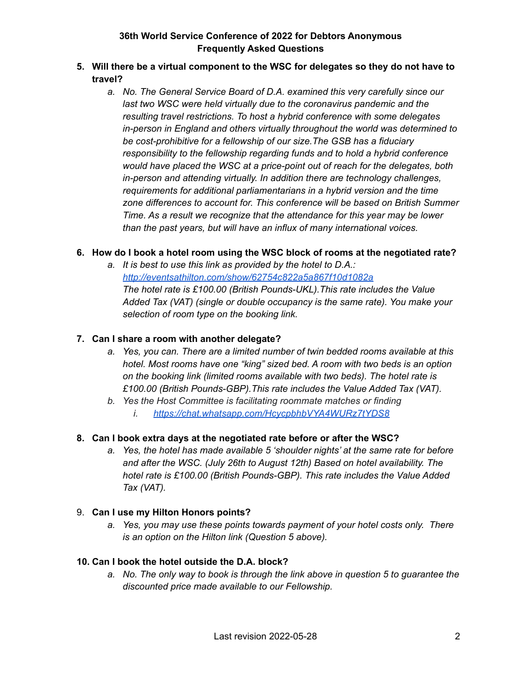- **5. Will there be a virtual component to the WSC for delegates so they do not have to travel?**
	- *a. No. The General Service Board of D.A. examined this very carefully since our last two WSC were held virtually due to the coronavirus pandemic and the resulting travel restrictions. To host a hybrid conference with some delegates in-person in England and others virtually throughout the world was determined to be cost-prohibitive for a fellowship of our size.The GSB has a fiduciary responsibility to the fellowship regarding funds and to hold a hybrid conference would have placed the WSC at a price-point out of reach for the delegates, both in-person and attending virtually. In addition there are technology challenges, requirements for additional parliamentarians in a hybrid version and the time zone differences to account for. This conference will be based on British Summer Time. As a result we recognize that the attendance for this year may be lower than the past years, but will have an influx of many international voices.*

### **6. How do I book a hotel room using the WSC block of rooms at the negotiated rate?**

*a. It is best to use this link as provided by the hotel to D.A.: <http://eventsathilton.com/show/62754c822a5a867f10d1082a> The hotel rate is £100.00 (British Pounds-UKL).This rate includes the Value Added Tax (VAT) (single or double occupancy is the same rate). You make your selection of room type on the booking link.*

#### **7. Can I share a room with another delegate?**

- *a. Yes, you can. There are a limited number of twin bedded rooms available at this hotel. Most rooms have one "king" sized bed. A room with two beds is an option on the booking link (limited rooms available with two beds). The hotel rate is £100.00 (British Pounds-GBP).This rate includes the Value Added Tax (VAT).*
- *b. Yes the Host Committee is facilitating roommate matches or finding*
	- *i. <https://chat.whatsapp.com/HcycpbhbVYA4WURz7tYDS8>*

#### **8. Can I book extra days at the negotiated rate before or after the WSC?**

*a. Yes, the hotel has made available 5 'shoulder nights' at the same rate for before and after the WSC. (July 26th to August 12th) Based on hotel availability. The hotel rate is £100.00 (British Pounds-GBP). This rate includes the Value Added Tax (VAT).*

#### 9. **Can I use my Hilton Honors points?**

*a. Yes, you may use these points towards payment of your hotel costs only. There is an option on the Hilton link (Question 5 above).*

#### **10. Can I book the hotel outside the D.A. block?**

*a. No. The only way to book is through the link above in question 5 to guarantee the discounted price made available to our Fellowship.*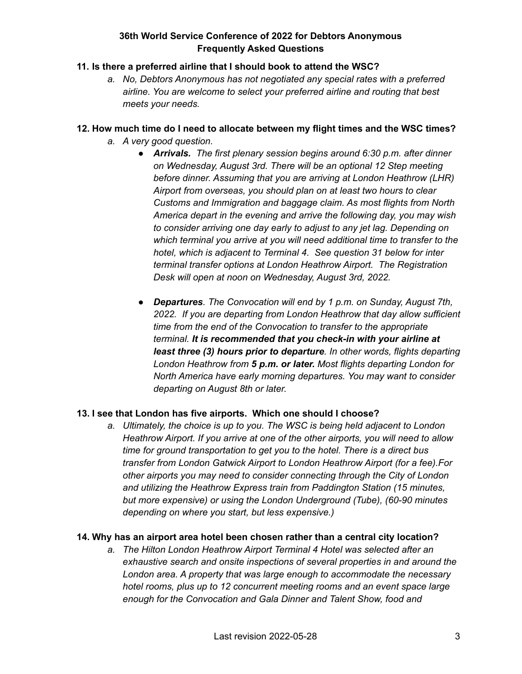### **11. Is there a preferred airline that I should book to attend the WSC?**

*a. No, Debtors Anonymous has not negotiated any special rates with a preferred airline. You are welcome to select your preferred airline and routing that best meets your needs.*

#### **12. How much time do I need to allocate between my flight times and the WSC times?**

- *a. A very good question.*
	- *● Arrivals. The first plenary session begins around 6:30 p.m. after dinner on Wednesday, August 3rd. There will be an optional 12 Step meeting before dinner. Assuming that you are arriving at London Heathrow (LHR) Airport from overseas, you should plan on at least two hours to clear Customs and Immigration and baggage claim. As most flights from North America depart in the evening and arrive the following day, you may wish to consider arriving one day early to adjust to any jet lag. Depending on which terminal you arrive at you will need additional time to transfer to the hotel, which is adjacent to Terminal 4. See question 31 below for inter terminal transfer options at London Heathrow Airport. The Registration Desk will open at noon on Wednesday, August 3rd, 2022.*
	- *● Departures. The Convocation will end by 1 p.m. on Sunday, August 7th, 2022. If you are departing from London Heathrow that day allow sufficient time from the end of the Convocation to transfer to the appropriate terminal. It is recommended that you check-in with your airline at least three (3) hours prior to departure. In other words, flights departing London Heathrow from 5 p.m. or later. Most flights departing London for North America have early morning departures. You may want to consider departing on August 8th or later.*

## **13. I see that London has five airports. Which one should I choose?**

*a. Ultimately, the choice is up to you. The WSC is being held adjacent to London Heathrow Airport. If you arrive at one of the other airports, you will need to allow time for ground transportation to get you to the hotel. There is a direct bus transfer from London Gatwick Airport to London Heathrow Airport (for a fee).For other airports you may need to consider connecting through the City of London and utilizing the Heathrow Express train from Paddington Station (15 minutes, but more expensive) or using the London Underground (Tube), (60-90 minutes depending on where you start, but less expensive.)*

#### **14. Why has an airport area hotel been chosen rather than a central city location?**

*a. The Hilton London Heathrow Airport Terminal 4 Hotel was selected after an exhaustive search and onsite inspections of several properties in and around the London area. A property that was large enough to accommodate the necessary hotel rooms, plus up to 12 concurrent meeting rooms and an event space large enough for the Convocation and Gala Dinner and Talent Show, food and*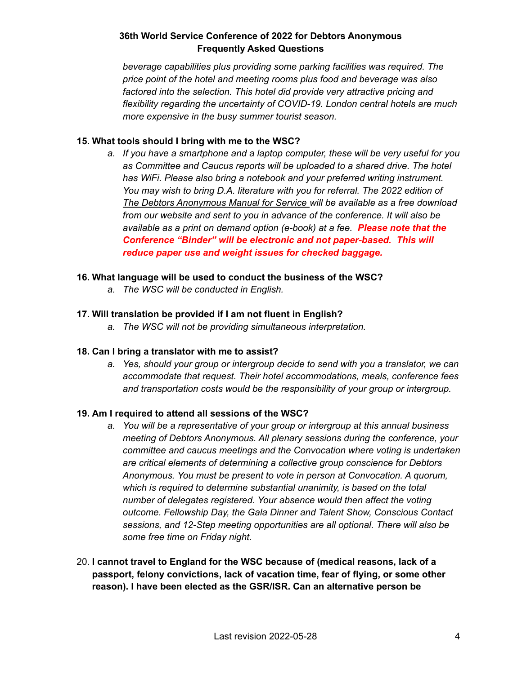*beverage capabilities plus providing some parking facilities was required. The price point of the hotel and meeting rooms plus food and beverage was also factored into the selection. This hotel did provide very attractive pricing and flexibility regarding the uncertainty of COVID-19. London central hotels are much more expensive in the busy summer tourist season.*

#### **15. What tools should I bring with me to the WSC?**

*a. If you have a smartphone and a laptop computer, these will be very useful for you as Committee and Caucus reports will be uploaded to a shared drive. The hotel has WiFi. Please also bring a notebook and your preferred writing instrument. You may wish to bring D.A. literature with you for referral. The 2022 edition of The Debtors Anonymous Manual for Service will be available as a free download from our website and sent to you in advance of the conference. It will also be available as a print on demand option (e-book) at a fee. Please note that the Conference "Binder" will be electronic and not paper-based. This will reduce paper use and weight issues for checked baggage.*

#### **16. What language will be used to conduct the business of the WSC?**

*a. The WSC will be conducted in English.*

#### **17. Will translation be provided if I am not fluent in English?**

*a. The WSC will not be providing simultaneous interpretation.*

#### **18. Can I bring a translator with me to assist?**

*a. Yes, should your group or intergroup decide to send with you a translator, we can accommodate that request. Their hotel accommodations, meals, conference fees and transportation costs would be the responsibility of your group or intergroup.*

#### **19. Am I required to attend all sessions of the WSC?**

- *a. You will be a representative of your group or intergroup at this annual business meeting of Debtors Anonymous. All plenary sessions during the conference, your committee and caucus meetings and the Convocation where voting is undertaken are critical elements of determining a collective group conscience for Debtors Anonymous. You must be present to vote in person at Convocation. A quorum, which is required to determine substantial unanimity, is based on the total number of delegates registered. Your absence would then affect the voting outcome. Fellowship Day, the Gala Dinner and Talent Show, Conscious Contact sessions, and 12-Step meeting opportunities are all optional. There will also be some free time on Friday night.*
- 20. **I cannot travel to England for the WSC because of (medical reasons, lack of a passport, felony convictions, lack of vacation time, fear of flying, or some other reason). I have been elected as the GSR/ISR. Can an alternative person be**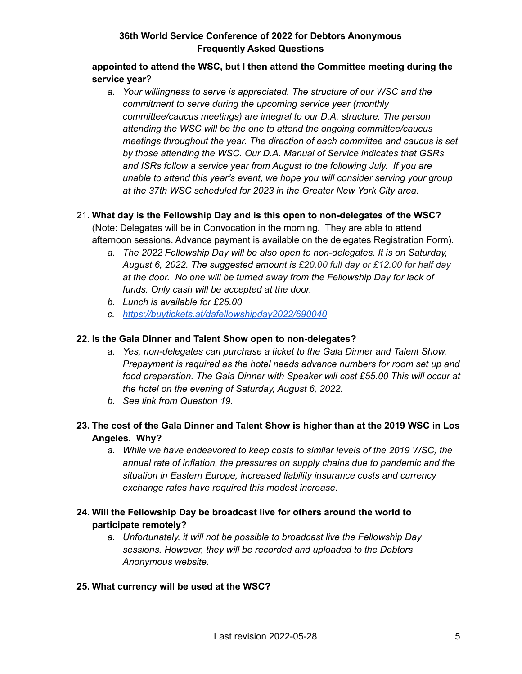### **appointed to attend the WSC, but I then attend the Committee meeting during the service year**?

*a. Your willingness to serve is appreciated. The structure of our WSC and the commitment to serve during the upcoming service year (monthly committee/caucus meetings) are integral to our D.A. structure. The person attending the WSC will be the one to attend the ongoing committee/caucus meetings throughout the year. The direction of each committee and caucus is set by those attending the WSC. Our D.A. Manual of Service indicates that GSRs and ISRs follow a service year from August to the following July. If you are unable to attend this year's event, we hope you will consider serving your group at the 37th WSC scheduled for 2023 in the Greater New York City area.*

## 21. **What day is the Fellowship Day and is this open to non-delegates of the WSC?**

(Note: Delegates will be in Convocation in the morning. They are able to attend afternoon sessions. Advance payment is available on the delegates Registration Form).

- *a. The 2022 Fellowship Day will be also open to non-delegates. It is on Saturday, August 6, 2022. The suggested amount is £20.00 full day or £12.00 for half day at the door. No one will be turned away from the Fellowship Day for lack of funds. Only cash will be accepted at the door.*
- *b. Lunch is available for £25.00*
- *c. <https://buytickets.at/dafellowshipday2022/690040>*

#### **22. Is the Gala Dinner and Talent Show open to non-delegates?**

- a. *Yes, non-delegates can purchase a ticket to the Gala Dinner and Talent Show. Prepayment is required as the hotel needs advance numbers for room set up and food preparation. The Gala Dinner with Speaker will cost £55.00 This will occur at the hotel on the evening of Saturday, August 6, 2022.*
- *b. See link from Question 19.*
- **23. The cost of the Gala Dinner and Talent Show is higher than at the 2019 WSC in Los Angeles. Why?**
	- *a. While we have endeavored to keep costs to similar levels of the 2019 WSC, the annual rate of inflation, the pressures on supply chains due to pandemic and the situation in Eastern Europe, increased liability insurance costs and currency exchange rates have required this modest increase.*

## **24. Will the Fellowship Day be broadcast live for others around the world to participate remotely?**

*a. Unfortunately, it will not be possible to broadcast live the Fellowship Day sessions. However, they will be recorded and uploaded to the Debtors Anonymous website.*

## **25. What currency will be used at the WSC?**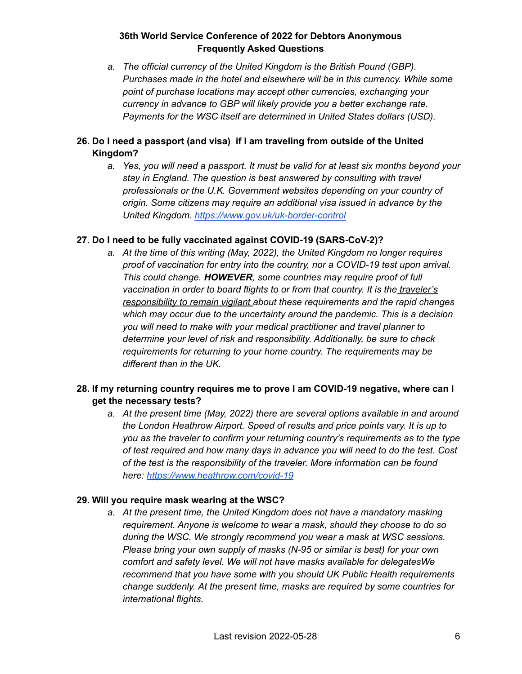*a. The official currency of the United Kingdom is the British Pound (GBP). Purchases made in the hotel and elsewhere will be in this currency. While some point of purchase locations may accept other currencies, exchanging your currency in advance to GBP will likely provide you a better exchange rate. Payments for the WSC itself are determined in United States dollars (USD).*

## **26. Do I need a passport (and visa) if I am traveling from outside of the United Kingdom?**

*a. Yes, you will need a passport. It must be valid for at least six months beyond your stay in England. The question is best answered by consulting with travel professionals or the U.K. Government websites depending on your country of origin. Some citizens may require an additional visa issued in advance by the United Kingdom. <https://www.gov.uk/uk-border-control>*

### **27. Do I need to be fully vaccinated against COVID-19 (SARS-CoV-2)?**

*a. At the time of this writing (May, 2022), the United Kingdom no longer requires proof of vaccination for entry into the country, nor a COVID-19 test upon arrival. This could change. HOWEVER, some countries may require proof of full vaccination in order to board flights to or from that country. It is the traveler's responsibility to remain vigilant about these requirements and the rapid changes which may occur due to the uncertainty around the pandemic. This is a decision you will need to make with your medical practitioner and travel planner to determine your level of risk and responsibility. Additionally, be sure to check requirements for returning to your home country. The requirements may be different than in the UK.*

## **28. If my returning country requires me to prove I am COVID-19 negative, where can I get the necessary tests?**

*a. At the present time (May, 2022) there are several options available in and around the London Heathrow Airport. Speed of results and price points vary. It is up to you as the traveler to confirm your returning country's requirements as to the type of test required and how many days in advance you will need to do the test. Cost of the test is the responsibility of the traveler. More information can be found here: <https://www.heathrow.com/covid-19>*

## **29. Will you require mask wearing at the WSC?**

*a. At the present time, the United Kingdom does not have a mandatory masking requirement. Anyone is welcome to wear a mask, should they choose to do so during the WSC. We strongly recommend you wear a mask at WSC sessions. Please bring your own supply of masks (N-95 or similar is best) for your own comfort and safety level. We will not have masks available for delegatesWe recommend that you have some with you should UK Public Health requirements change suddenly. At the present time, masks are required by some countries for international flights.*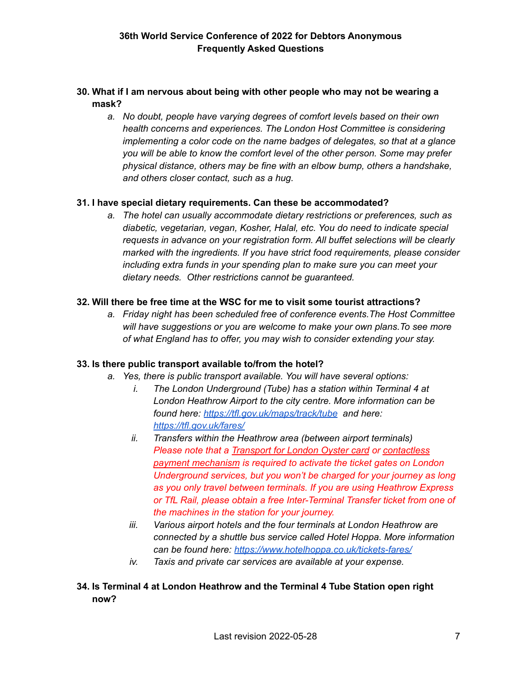## **30. What if I am nervous about being with other people who may not be wearing a mask?**

*a. No doubt, people have varying degrees of comfort levels based on their own health concerns and experiences. The London Host Committee is considering implementing a color code on the name badges of delegates, so that at a glance you will be able to know the comfort level of the other person. Some may prefer physical distance, others may be fine with an elbow bump, others a handshake, and others closer contact, such as a hug.*

### **31. I have special dietary requirements. Can these be accommodated?**

*a. The hotel can usually accommodate dietary restrictions or preferences, such as diabetic, vegetarian, vegan, Kosher, Halal, etc. You do need to indicate special requests in advance on your registration form. All buffet selections will be clearly marked with the ingredients. If you have strict food requirements, please consider including extra funds in your spending plan to make sure you can meet your dietary needs. Other restrictions cannot be guaranteed.*

### **32. Will there be free time at the WSC for me to visit some tourist attractions?**

*a. Friday night has been scheduled free of conference events.The Host Committee will have suggestions or you are welcome to make your own plans.To see more of what England has to offer, you may wish to consider extending your stay.*

## **33. Is there public transport available to/from the hotel?**

- *a. Yes, there is public transport available. You will have several options:*
	- *i. The London Underground (Tube) has a station within Terminal 4 at London Heathrow Airport to the city centre. More information can be found here: <https://tfl.gov.uk/maps/track/tube> and here: <https://tfl.gov.uk/fares/>*
	- *ii. Transfers within the Heathrow area (between airport terminals) Please note that a [Transport](https://tfl.gov.uk/fares/how-to-pay-and-where-to-buy-tickets-and-oyster/pay-as-you-go/oyster-pay-as-you-go?intcmp=55536) for London Oyster card or [contactless](https://tfl.gov.uk/fares/how-to-pay-and-where-to-buy-tickets-and-oyster/pay-as-you-go/contactless-and-mobile-pay-as-you-go?intcmp=55539) payment [mechanism](https://tfl.gov.uk/fares/how-to-pay-and-where-to-buy-tickets-and-oyster/pay-as-you-go/contactless-and-mobile-pay-as-you-go?intcmp=55539) is required to activate the ticket gates on London Underground services, but you won't be charged for your journey as long as you only travel between terminals. If you are using Heathrow Express or TfL Rail, please obtain a free Inter-Terminal Transfer ticket from one of the machines in the station for your journey.*
	- *iii. Various airport hotels and the four terminals at London Heathrow are connected by a shuttle bus service called Hotel Hoppa. More information can be found here: <https://www.hotelhoppa.co.uk/tickets-fares/>*
	- *iv. Taxis and private car services are available at your expense.*

# **34. Is Terminal 4 at London Heathrow and the Terminal 4 Tube Station open right now?**